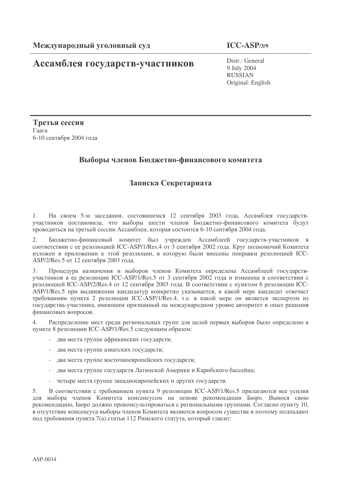# Ассамблея государств-участников

**ICC-ASP/3/9**

Distr.: General 9 July 2004 RUSSIAN Original: English

Третья сессия  $\Gamma$ aara 6-10 сентября 2004 года

# Выборы членов Бюджетно-финансового комитета

# Записка Секретариата

1. На своем 5-м заседании, состоявшемся 12 сентября 2003 года, Ассамблея государствучастников постановила, что выборы шести членов Бюджетно-финансового комитета будут проводиться на третьей сессии Ассамблеи, которая состоится 6-10 сентября 2004 года.

2. Бюджетно-финансовый комитет был учрежден Ассамблеей государств-участников в соответствии с ее резолюцией ICC-ASP/1/Res.4 от 3 сентября 2002 года. Круг полномочий Комитета изложен в приложении к этой резолюции, в которую были внесены поправки резолюцией ICC-ASP/2/Res.5 от 12 сентября 2003 года.

3. Процедура назначения и выборов членов Комитета определена Ассамблеей государствучастников в ее резолюции ICC-ASP/1/Res.5 от 3 сентября 2002 года и изменена в соответствии с резолюцией ICC-ASP/2/Res.4 от 12 сентября 2003 года. В соответствии с пунктом 6 резолюции ICC-ASP/1/Res.5 при выдвижении кандидатур конкретно указывается, в какой мере кандидат отвечает требованиям пункта 2 резолюции ICC-ASP/1/Res.4, т.е. в какой мере он является экспертом из государства-участника, имеющим признанный на международном уровне авторитет и опыт решения финансовых вопросов.

4. Распределение мест среди региональных групп для целей первых выборов было определено в пункте 8 резолюции ICC-ASP/1/Res.5 следующим образом:

- два места группе африканских государств;
- два места группе азиатских государств;
- два места группе восточноевропейских государств;
- два места группе государств Латинской Америки и Карибского бассейна;
- четыре места группе западноевропейских и других государств.

5. В соответствии с требованием пункта 9 резолюции ICC-ASP/1/Res.5 прилагаются все усилия для выбора членов Комитета консенсусом на основе рекомендации Бюро. Вынося свою рекомендацию, Бюро должно проконсультироваться с региональными группами. Согласно пункту 10, в отсутствие консенсуса выборы членов Комитета являются вопросом существа и поэтому подпадают под требования пункта 7(а) статьи 112 Римского статута, который гласит: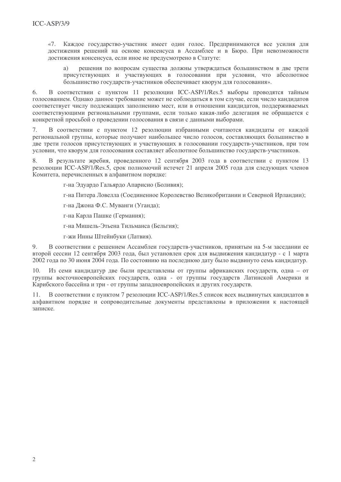«7. Каждое государство-участник имеет один голос. Предпринимаются все усилия для достижения решений на основе консенсуса в Ассамблее и в Бюро. При невозможности лостижения консенсуса, если иное не предусмотрено в Статуте:

решения по вопросам существа должны утверждаться большинством в две трети  $a)$ присутствующих и участвующих в голосовании при условии, что абсолютное большинство государств-участников обеспечивает кворум для голосования».

В соответствии с пунктом 11 резолюции ICC-ASP/1/Res.5 выборы проводятся тайным 6 голосованием. Однако данное требование может не соблюдаться в том случае, если число кандидатов соответствует числу подлежащих заполнению мест, или в отношении кандидатов, поддерживаемых соответствующими региональными группами, если только какая-либо лелегация не обращается с конкретной просьбой о проведении голосования в связи с данными выборами.

 $\tau$ В соответствии с пунктом 12 резолюции избранными считаются канлилаты от кажлой региональной группы, которые получают наибольшее число голосов, составляющих большинство в лве трети голосов присутствующих и участвующих в голосовании государств-участников, при том условии, что кворум для голосования составляет абсолютное большинство государств-участников.

В результате жребия, провеленного 12 сентября 2003 года в соответствии с пунктом 13 8. резолюции ICC-ASP/1/Res.5, срок полномочий истечет 21 апреля 2005 года для следующих членов Комитета, перечисленных в алфавитном порядке:

г-на Эдуардо Гальярдо Апарисио (Боливия);

г-на Питера Ловелла (Соединенное Королевство Великобритании и Северной Ирландии);

г-на Джона Ф.С. Муванги (Уганда);

г-на Карла Пашке (Германия);

г-на Мишель-Этьена Тильманса (Бельгия);

г-жи Инны Штейнбуки (Латвия).

9. В соответствии с решением Ассамблеи государств-участников, принятым на 5-м заседании ее второй сессии 12 сентября 2003 года, был установлен срок для выдвижения кандидатур - с 1 марта 2002 года по 30 июня 2004 года. По состоянию на последнюю дату было выдвинуто семь кандидатур.

Из семи кандидатур две были представлены от группы африканских государств, одна - от 10. группы восточноевропейских государств, одна - от группы государств Латинской Америки и Карибского бассейна и три - от группы западноевропейских и других государств.

В соответствии с пунктом 7 резолюции ICC-ASP/1/Res.5 список всех выдвинутых кандидатов в 11. алфавитном порядке и сопроводительные документы представлены в приложении к настоящей записке.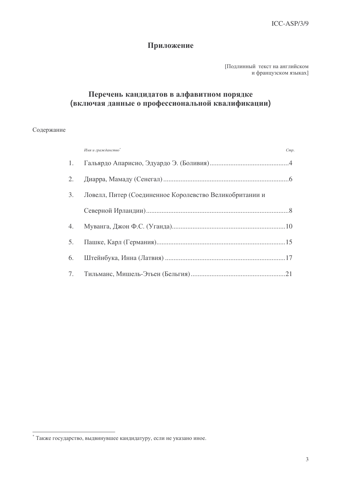# Приложение

[Подлинный текст на английском и французском языках]

# Перечень кандидатов в алфавитном порядке (включая данные о профессиональной квалификации)

# Содержание

| Имя и гражданство*                                         | Cmp |
|------------------------------------------------------------|-----|
|                                                            |     |
|                                                            |     |
| 3. Ловелл, Питер (Соединенное Королевство Великобритании и |     |
|                                                            |     |
|                                                            |     |
|                                                            |     |
|                                                            |     |
|                                                            |     |

<sup>&</sup>lt;sup>\*</sup> Также государство, выдвинувшее кандидатуру, если не указано иное.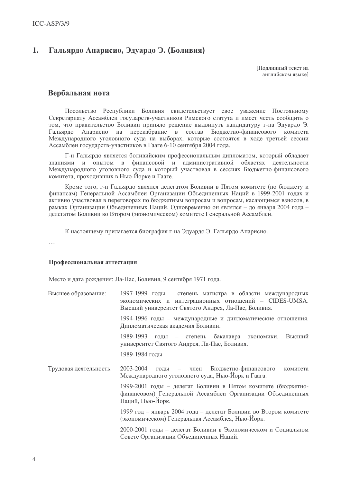#### Гальярдо Апарисио, Эдуардо Э. (Боливия) 1.

Поллинный текст на английском языке]

# Вербальная нота

Посольство Республики Боливия свидетельствует свое уважение Постоянному Секретариату Ассамблеи государств-участников Римского статута и имеет честь сообщить о том, что правительство Боливии приняло решение выдвинуть кандидатуру г-на Эдуардо Э. Апарисио на переизбрание в состав Бюджетно-финансового Гальярдо комитета Международного уголовного суда на выборах, которые состоятся в ходе третьей сессии Ассамблеи государств-участников в Гааге 6-10 сентября 2004 года.

Г-н Гальярдо является боливийским профессиональным дипломатом, который обладает знаниями и опытом в финансовой и административной областях деятельности Международного уголовного суда и который участвовал в сессиях Бюджетно-финансового комитета, проходивших в Нью-Йорке и Гааге.

Кроме того, г-н Гальярдо являлся делегатом Боливии в Пятом комитете (по бюджету и финансам) Генеральной Ассамблеи Организации Объединенных Наций в 1999-2001 годах и активно участвовал в переговорах по бюджетным вопросам и вопросам, касающимся взносов, в рамках Организации Объединенных Наций. Одновременно он являлся – до января 2004 года – делегатом Боливии во Втором (экономическом) комитете Генеральной Ассамблеи.

К настоящему прилагается биография г-на Эдуардо Э. Гальярдо Апарисио.

 $\dddotsc$ 

# Профессиональная аттестация

Место и дата рождения: Ла-Пас, Боливия, 9 сентября 1971 года.

| Высшее образование:    | 1997-1999 годы – степень магистра в области международных<br>экономических и интеграционных отношений - CIDES-UMSA.<br>Высший университет Святого Андрея, Ла-Пас, Боливия. |
|------------------------|----------------------------------------------------------------------------------------------------------------------------------------------------------------------------|
|                        | 1994-1996 годы - международные и дипломатические отношения.<br>Дипломатическая академия Боливии.                                                                           |
|                        | 1989-1993 годы – степень бакалавра экономики.<br>Высший<br>университет Святого Андрея, Ла-Пас, Боливия.                                                                    |
|                        | 1989-1984 годы                                                                                                                                                             |
| Трудовая деятельность: | 2003-2004<br>годы – член Бюджетно-финансового<br>комитета<br>Международного уголовного суда, Нью-Йорк и Гаага.                                                             |
|                        | 1999-2001 годы – делегат Боливии в Пятом комитете (бюджетно-<br>финансовом) Генеральной Ассамблеи Организации Объединенных<br>Наций, Нью-Йорк.                             |
|                        | 1999 год - январь 2004 года - делегат Боливии во Втором комитете<br>(экономическом) Генеральная Ассамблея, Нью-Йорк.                                                       |
|                        | 2000-2001 годы - делегат Боливии в Экономическом и Социальном<br>Совете Организации Объединенных Наций.                                                                    |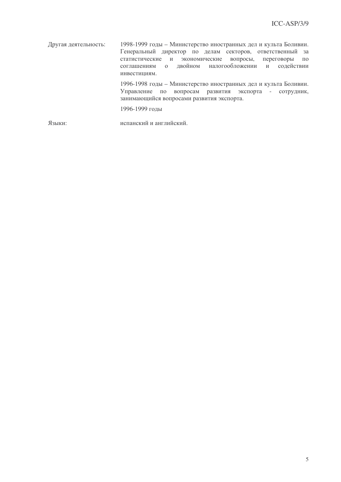Друга я деятельность: 1998-1999 годы – Министерство иностранных дел и культа Боливии. Генеральный директор по делам секторов, ответственный за статистические и экономические вопросы, переговоры по соглашениям о двойном налогообложении и содействии инвестициям. 1996-1998 годы - Министерство иностранных дел и культа Боливии. Управление по вопросам развития экспорта - сотрудник, занимающийся вопросами развития экспорта. 1996-1999 годы Языки: нский и английский.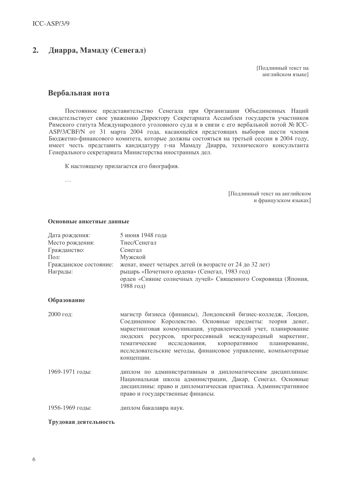#### $2.$ Диарра, Мамаду (Сенегал)

Подлинный текст на английском языке]

# Вербальная нота

Постоянное представительство Сенегала при Организации Объединенных Наций свидетельствует свое уважению Директору Секретариата Ассамблеи государств участников Римского статута Международного уголовного суда и в связи с его вербальной нотой № ICC-ASP/3/CBF/N от 31 марта 2004 года, касающейся предстоящих выборов шести членов Бюджетно-финансового комитета, которые должны состояться на третьей сессии в 2004 году, имеет честь представить кандидатуру г-на Мамаду Диарра, технического консультанта Генерального секретариата Министерства иностранных дел.

К настоящему прилагается его биография.

 $\ddotsc$ 

[Подлинный текст на английском и французском языках]

| Дата рождения:<br>Место рождения:<br>Гражданство:<br>Пол:<br>Гражданское состояние:<br>Награды: | 5 июня 1948 года<br>Тиес/Сенегал<br>Сенегал<br>Мужской<br>женат, имеет четырех детей (в возрасте от 24 до 32 лет)<br>рыцарь «Почетного ордена» (Сенегал, 1983 год)<br>орден «Сияние солнечных лучей» Священного Сокровища (Япония,                                                                                                                                                                        |
|-------------------------------------------------------------------------------------------------|-----------------------------------------------------------------------------------------------------------------------------------------------------------------------------------------------------------------------------------------------------------------------------------------------------------------------------------------------------------------------------------------------------------|
|                                                                                                 | 1988 год)                                                                                                                                                                                                                                                                                                                                                                                                 |
| Образование                                                                                     |                                                                                                                                                                                                                                                                                                                                                                                                           |
| $2000$ год:                                                                                     | магистр бизнеса (финансы), Лондонский бизнес-колледж, Лондон,<br>Соединенное Королевство. Основные предметы: теория денег,<br>маркетинговая коммуникация, управленческий учет, планирование<br>людских ресурсов, прогрессивный международный маркетинг,<br>исследования,<br>корпоративное<br>тематические<br>планирование,<br>исследовательские методы, финансовое управление, компьютерные<br>концепции. |
| 1969-1971 годы:                                                                                 | диплом по административным и дипломатическим дисциплинам:<br>Национальная школа администрации, Дакар, Сенегал. Основные<br>дисциплины: право и дипломатическая практика. Административное<br>право и государственные финансы.                                                                                                                                                                             |
| 1956-1969 годы:                                                                                 | диплом бакалавра наук.                                                                                                                                                                                                                                                                                                                                                                                    |

## Основные анкетные данные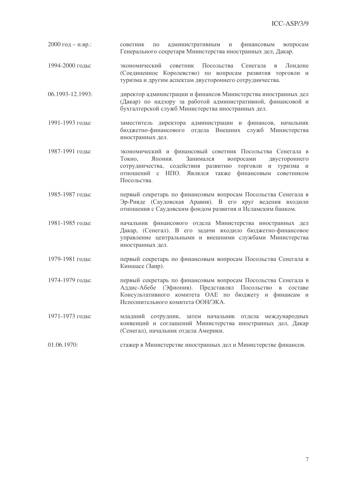- $2000$  год н.вр.: советник  $\Pi$ <sup>O</sup> административным и финансовым вопросам Генерального секретаря Министерства иностранных дел. Дакар.
- 1994-2000 голы: Посольства экономический советник Сенегала в Лонлоне (Соединенное Королевство) по вопросам развития торговли и туризма и другим аспектам двустороннего сотрудничества.
- $06.1993 12.1993$ : лиректор алминистрации и финансов Министерства иностранных лел (Лакар) по налзору за работой алминистративной, финансовой и бухгалтерской служб Министерства иностранных дел.
- 1991-1993 голы: заместитель директора администрации и финансов, начальник бюджетно-финансового отдела Внешних служб Министерства иностранных дел.
- 1987-1991 годы: экономический и финансовый советник Посольства Сенегала в Токио. Япония. Занимался вопросами двустороннего сотрудничества, содействия развитию торговли и туризма и отношений с НПО. Являлся также финансовым советником Посольства
- 1985-1987 голы: первый секретарь по финансовым вопросам Посольства Сенегала в Эр-Рияде (Саудовская Аравия). В его круг ведения входили отношения с Саудовским фондом развития и Исламским банком.
- 1981-1985 годы: начальник финансового отдела Министерства иностранных дел Дакар, (Сенегал). В его задачи входило бюджетно-финансовое управление центральными и внешними службами Министерства иностранных дел.
- 1979-1981 голы: первый секретарь по финансовым вопросам Посольства Сенегала в Киншасе (Заир).
- 1974-1979 голы: первый секретарь по финансовым вопросам Посольства Сенегала в Аддис-Абебе (Эфиопия). Представлял Посольство в составе Консультативного комитета ОАЕ по бюджету и финансам и Исполнительного комитета ООН/ЭКА.
- 1971-1973 годы: младший сотрудник, затем начальник отдела международных конвенций и соглашений Министерства иностранных дел, Дакар (Сенегал), начальник отдела Америки.

 $01.06.1970:$ стажер в Министерстве иностранных дел и Министерстве финансов.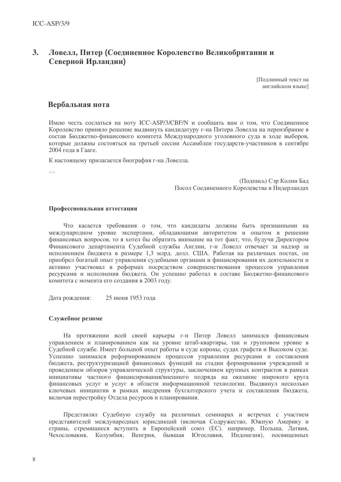### $3.$ Ловелл, Питер (Соединенное Королевство Великобритании и Северной Ирландии)

Подлинный текст на английском языке]

# Вербальная нота

Имею честь сослаться на ноту ICC-ASP/3/CBF/N и сообщить вам о том, что Соединенное Королевство приняло решение выдвинуть кандидатуру г-на Питера Ловелла на переизбрание в состав Бюджетно-финансового комитета Международного уголовного суда в ходе выборов, которые должны состояться на третьей сессии Ассамблеи государств-участников в сентябре 2004 года в Гааге.

К настоящему прилагается биография г-на Ловелла.

 $\cdots$ 

(Подпись) Сэр Колин Бад Посол Соединенного Королевства в Нидерландах

# Профессиональная аттестация

Что касается требования о том, что кандидаты должны быть признанными на международном уровне экспертами, обладающими авторитетом и опытом в решении финансовых вопросов, то я хотел бы обратить внимание на тот факт, что, будучи Директором Финансового департамента Судебной службы Англии, г-н Ловелл отвечает за надзор за исполнением бюджета в размере 1,3 млрд. долл. США. Работая на различных постах, он приобрел богатый опыт управления судебными органами и финансирования их деятельности и активно участвовал в реформах посредством совершенствования процессов управления ресурсами и исполнения бюджета. Он успешно работал в составе Бюджетно-финансового комитета с момента его создания в 2003 году.

25 июня 1953 года Дата рождения:

# Служебное резюме

На протяжении всей своей карьеры г-н Питер Ловелл занимался финансовым управлением и планированием как на уровне штаб-квартиры, так и групповом уровне в Судебной службе. Имеет большой опыт работы в суде короны, судах графств и Высоком суде. Успешно занимался реформированием процессов управления ресурсами и составления бюджета, реструктуризацией финансовых функций на стадии формирования учреждений и проведением обзоров управленческой структуры, заключением крупных контрактов в рамках инициативы частного финансирования/внешнего подряда на оказание широкого круга финансовых услуг и услуг в области информационной технологии. Выдвинул несколько ключевых инициатив в рамках внедрения бухгалтерского учета и составления бюджета, включая перестройку Отдела ресурсов и планирования.

Представлял Судебную службу на различных семинарах и встречах с участием представителей международных юрисдикций (включая Содружество, Южную Америку и страны, стремящиеся вступить в Европейский союз (ЕС). например, Польша, Латвия, Чехословакия, Колумбия, Венгрия, бывшая Югославия, Индонезия), посвященных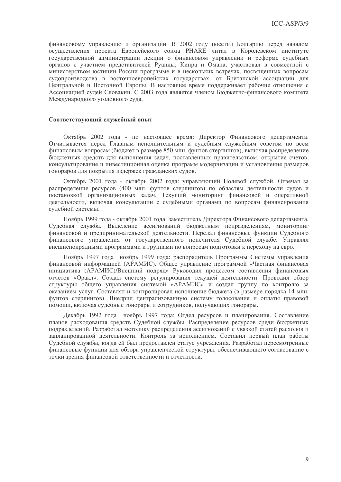финансовому управлению и организации. В 2002 году посетил Болгарию перед началом осуществления проекта Европейского союза PHARE читал в Королевском институте государственной администрации лекции о финансовом управлении и реформе судебных органов с участием представителей Руанды, Кипра и Омана, участвовал в совместной с министерством юстиции России программе и в нескольких встречах, посвященных вопросам судопроизводства в восточноевропейских государствах, от Британской ассоциации для Пентральной и Восточной Европы. В настоящее время поллерживает рабочие отношения с Ассоциацией судей Словакии. С 2003 года является членом Бюджетно-финансового комитета Международного уголовного суда.

# Соответствующий служебный опыт

Октябрь 2002 года - по настоящее время: Лиректор Финансового департамента. Отчитывается перед Главным исполнительным и судебным служебным советом по всем финансовым вопросам (бюджет в размере 850 млн. фунтов стерлингов), включая распределение бюлжетных средств для выполнения задач, поставленных правительством, открытие счетов, консультирование и инвестиционная оценка программ модернизации и установление размеров гонораров для покрытия издержек гражданских судов.

Октябрь 2001 года - октябрь 2002 года: управляющий Полевой службой. Отвечал за распределение ресурсов (400 млн. фунтов стерлингов) по областям деятельности судов и постановкой организационных задач. Текущий мониторинг финансовой и оперативной деятельности, включая консультации с судебными органами по вопросам финансирования судебной системы.

Ноябрь 1999 года - октябрь 2001 года: заместитель Директора Финансового департамента, Судебная служба. Выделение ассигнований бюджетным подразделениям, мониторинг финансовой и предпринимательской деятельности. Передал финансовые функции Судебного финансового управления от государственного попечителя Судебной службе. Управлял внешнеподрядными программами и группами по вопросам подготовки к переходу на евро.

Ноябрь 1997 года ноябрь 1999 года: распорядитель Программы Системы управления финансовой информацией (АРАМИС). Общее управление программой «Частная финансовая инициатива (АРАМИС)/Внешний подряд» Руководил процессом составления финансовых отчетов «Оракл». Создал систему регулирования текущей деятельности. Проводил обзор структуры общего управления системой «АРАМИС» и создал группу по контролю за оказанием услуг. Составлял и контролировал исполнение бюджета (в размере порядка 14 млн. фунтов стерлингов). Внедрил централизованную систему голосования и оплаты правовой помощи, включая судебные гонорары и сотрудников, получающих гонорары.

Декабрь 1992 года ноябрь 1997 года: Отдел ресурсов и планирования. Составление планов расходования средств Судебной службы. Распределение ресурсов среди бюджетных подразделений. Разработал методику распределения ассигнований с увязкой статей расходов и запланированной деятельности. Контроль за исполнением. Составил первый план работы Судебной службы, когда ей был предоставлен статус учреждения. Разработал пересмотренные финансовые функции для обзора управленческой структуры, обеспечивающего согласование с точки зрения финансовой ответственности и отчетности.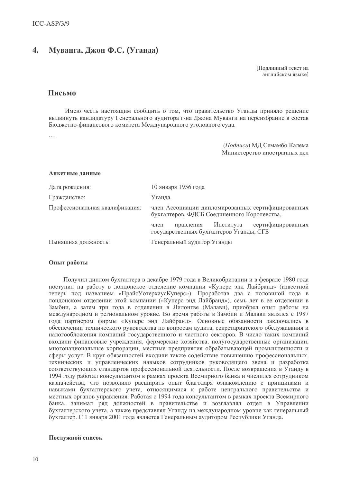#### $\overline{4}$ . Муванга, Джон Ф.С. (Уганда)

Поллинный текст на английском языке]

# Письмо

Имею честь настоящим сообщить о том, что правительство Уганды приняло решение выдвинуть кандидатуру Генерального аудитора г-на Джона Муванги на переизбрание в состав Бюджетно-финансового комитета Международного уголовного суда.

 $\ddotsc$ 

(Подпись) МД Семамбо Калема Министерство иностранных дел

# Анкетные ланные

| Дата рождения:                 | 10 января 1956 года                                                                              |
|--------------------------------|--------------------------------------------------------------------------------------------------|
| Гражданство:                   | Уганда                                                                                           |
| Профессиональная квалификация: | член Ассоциации дипломированных сертифицированных<br>бухгалтеров, ФДСБ Соединенного Королевства, |
|                                | Института сертифицированных<br>правления<br>член<br>государственных бухгалтеров Уганды, СГБ      |
| Ныняшняя должность:            | Генеральный аудитор Уганды                                                                       |

# Опыт работы

Получил диплом бухгалтера в декабре 1979 года в Великобритании и в феврале 1980 года поступил на работу в лондонское отделение компании «Куперс энд Лайбранд» (известной теперь под названием «ПрайсУотерхаусКуперс»). Проработав два с половиной года в лондонском отделении этой компании («Куперс энд Лайбранд»), семь лет в ее отделении в Замбии, а затем три года в отделении в Лилонгве (Малави), приобрел опыт работы на международном и региональном уровне. Во время работы в Замбии и Малави являлся с 1987 года партнером фирмы «Куперс энд Лайбранд». Основные обязанности заключались в обеспечении технического руководства по вопросам аудита, секретариатского обслуживания и налогообложения компаний государственного и частного секторов. В число таких компаний входили финансовые учреждения, фермерские хозяйства, полугосударственные организации, многонациональные корпорации, местные предприятия обрабатывающей промышленности и сферы услуг. В круг обязанностей входили также содействие повышению профессиональных, технических и управленческих навыков сотрудников руководящего звена и разработка соответствующих стандартов профессиональной деятельности. После возвращения в Уганду в 1994 году работал консультантом в рамках проекта Всемирного банка и числился сотрудником казначейства, что позволило расширить опыт благодаря ознакомлению с принципами и навыками бухгалтерского учета, относящимися к работе центрального правительства и местных органов управления. Работая с 1994 года консультантом в рамках проекта Всемирного банка, занимал ряд должностей в правительстве и возглавлял отдел в Управлении бухгалтерского учета, а также представлял Уганду на международном уровне как генеральный бухгалтер. С 1 января 2001 года является Генеральным аудитором Республики Уганда.

# Послужной список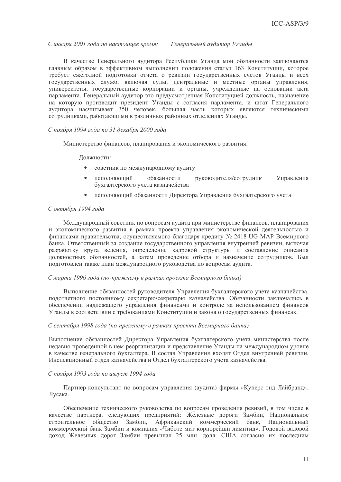С января 2001 года по настоящее время: Генеральный аудитор Уганды

В качестве Генерального аулитора Республики Уганла мои обязанности заключаются главным образом в эффективном выполнении положения статьи 163 Конституции, которое требует ежегодной подготовки отчета о ревизии государственных счетов Уганды и всех государственных служб, включая суды, центральные и местные органы управления, университеты, государственные корпорации и органы, учрежденные на основании акта парламента. Генеральный аудитор это предусмотренная Конституцией должность, назначение на которую производит президент Уганды с согласия парламента, и штат Генерального аудитора насчитывает 350 человек, большая часть которых являются техническими сотрудниками, работающими в различных районных отделениях Уганды.

# С ноября 1994 года по 31 декабря 2000 года

Министерство финансов, планирования и экономического развития.

Лолжности:

- $\bullet$ советник по международному аудиту
- $\bullet$ исполняющий обязанности руководителя/сотрудник Управления бухгалтерского учета казначейства
- $\bullet$ исполняющий обязанности Директора Управления бухгалтерского учета

# С октября 1994 года

Международный советник по вопросам аудита при министерстве финансов, планирования и экономического развития в рамках проекта управления экономической деятельностью и финансами правительства, осуществляемого благодаря кредиту № 2418-UG MAP Всемирного банка. Ответственный за создание государственного управления внутренней ревизии, включая разработку круга ведения, определение кадровой структуры и составление описания должностных обязанностей, а затем проведение отбора и назначение сотрудников. Был подготовлен также план международного руководства по вопросам аудита.

## С марта 1996 года (по-прежнему в рамках проекта Всемирного банка)

Выполнение обязанностей руководителя Управления бухгалтерского учета казначейства, подотчетного постоянному секретарю/секретарю казначейства. Обязанности заключались в обеспечении надлежащего управления финансами и контроле за использованием финансов Уганды в соответствии с требованиями Конституции и закона о государственных финансах.

### С сентября 1998 года (по-прежнему в рамках проекта Всемирного банка)

Выполнение обязанностей Директора Управления бухгалтерского учета министерства после недавно проведенной в нем реорганизации и представление Уганды на международном уровне в качестве генерального бухгалтера. В состав Управления входят Отдел внутренней ревизии, Инспекционный отдел казначейства и Отдел бухгалтерского учета казначейства.

### С ноября 1993 года по август 1994 года

Партнер-консультант по вопросам управления (аудита) фирмы «Куперс энд Лайбранд», Лусака.

Обеспечение технического руководства по вопросам проведения ревизий, в том числе в качестве партнера, следующих предприятий: Железные дороги Замбии, Национальное строительное общество Замбии, Африканский коммерческий банк, Национальный коммерческий банк Замбии и компания «Чиботе мит корпорейшн лимитид». Годовой валовой доход Железных дорог Замбии превышал 25 млн. долл. США согласно их последним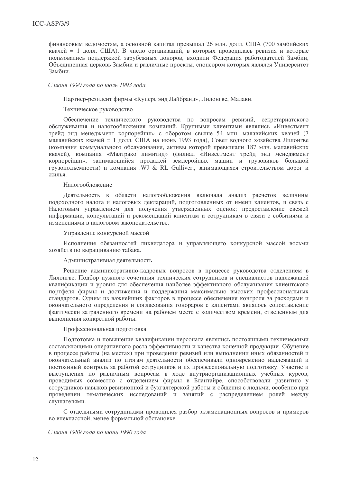финансовым веломостям, а основной капитал превышал 26 млн. лолл. США (700 замбийских квачей = 1 долл. США). В число организаций, в которых проводилась ревизия и которые пользовались поллержкой зарубежных лоноров, входили Фелерация работолателей Замбии, Объединенная церковь Замбии и различные проекты, спонсором которых являлся Университет Замбии

# С июня 1990 года по июль 1993 года

Партнер-резидент фирмы «Куперс энд Лайбранд», Лилонгве, Малави.

Техническое руководство

Обеспечение технического руководства по вопросам ревизий, секретариатского обслуживания и налогообложения компаний. Крупными клиентами являлись «Инвестмент трейл энл менелжмент корпорейшн» с оборотом свыше 54 млн. малавийских квачей (7 малавийских квачей = 1 лолл. США на июнь 1993 года). Совет волного хозяйства Лилонгве (компания коммунального обслуживания, активы которой превышали 187 млн. малавийских квачей), компания «Малтрако лимитид» (филиал «Инвестмент трейд энд менеджмент корпорейшн», занимающийся продажей землеройных машин и грузовиков большой грузопольемности) и компания  $\overline{W}J \& \overline{R}L$  Gulliver. занимающаяся строительством дорог и  $\kappa$ ипья

# Налогообложение

Деятельность в области налогообложения включала анализ расчетов величины подоходного налога и налоговых деклараций, подготовленных от имени клиентов, и связь с Налоговым управлением для получения утвержденных оценок; предоставление свежей информации, консультаций и рекомендаций клиентам и сотрудникам в связи с событиями и изменениями в налоговом законодательстве.

Управление конкурсной массой

Исполнение обязанностей ликвидатора и управляющего конкурсной массой восьми хозяйств по выращиванию табака.

# Административная деятельность

Решение административно-кадровых вопросов в процессе руководства отделением в Лилонгве. Подбор нужного сочетания технических сотрудников и специалистов надлежащей квалификации и уровня для обеспечения наиболее эффективного обслуживания клиентского портфеля фирмы и достижения и поддержания максимально высоких профессиональных стандартов. Одним из важнейших факторов в процессе обеспечения контроля за расходами и окончательного определения и согласования гонораров с клиентами являлось сопоставление фактически затраченного времени на рабочем месте с количеством времени, отведенным для выполнения конкретной работы.

Профессиональная подготовка

Подготовка и повышение квалификации персонала являлись постоянными техническими составляющими оперативного роста эффективности и качества конечной продукции. Обучение в процессе работы (на местах) при проведении ревизий или выполнении иных обязанностей и окончательный анализ по итогам деятельности обеспечивали одновременно надлежащий и постоянный контроль за работой сотрудников и их профессиональную подготовку. Участие и выступления по различным вопросам в ходе внутриорганизационных учебных курсов, проводимых совместно с отделением фирмы в Блантайре, способствовали развитию у сотрудников навыков ревизионной и бухгалтерской работы и общения с людьми, особенно при проведении тематических исследований и занятий с распределением ролей между слушателями.

С отдельными сотрудниками проводился разбор экзаменационных вопросов и примеров во внеклассной, менее формальной обстановке.

С июня 1989 года по июнь 1990 года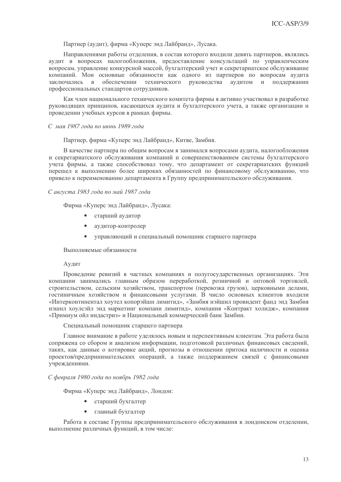Партнер (аудит), фирма «Куперс энд Лайбранд», Лусака.

Направлениями работы отделения, в состав которого входили девять партнеров, являлись аудит в вопросах налогообложения, предоставление консультаций по управленческим вопросам, управление конкурсной массой, бухгалтерский учет и секретариатское обслуживание компаний. Мои основные обязанности как одного из партнеров по вопросам аудита обеспечении заключались в технического руководства аудитом поддержании  $\,$  M профессиональных стандартов сотрудников.

Как член национального технического комитета фирмы я активно участвовал в разработке руководящих принципов, касающихся аудита и бухгалтерского учета, а также организации и проведении учебных курсов в рамках фирмы.

## $C$  мая 1987 года по июнь 1989 года

Партнер, фирма «Куперс энд Лайбранд», Китве, Замбия.

В качестве партнера по общим вопросам я занимался вопросами аудита, налогообложения и секретариатского обслуживания компаний и совершенствованием системы бухгалтерского учета фирмы, а также способствовал тому, что департамент от секретариатских функций перешел к выполнению более широких обязанностей по финансовому обслуживанию, что привело к переименованию департамента в Группу предпринимательского обслуживания.

# С августа 1983 года по май 1987 года

Фирма «Куперс энд Лайбранд», Лусака:

- $\bullet$ старший аудитор
- аудитор-контролер
- управляющий и специальный помощник старшего партнера

### Выполняемые обязанности

### Аудит

Проведение ревизий в частных компаниях и полугосударственных организациях. Эти компании занимались главным образом переработкой, розничной и оптовой торговлей, строительством, сельским хозяйством, транспортом (перевозка грузов), церковными делами, гостиничным хозяйством и финансовыми услугами. В число основных клиентов входили «Интерконтинентал хоутел копорэйшн лимитид», «Замбия нэйшнл провидент фанд энд Замбия нэшнл хоулсэйл энд маркетинг компани лимитид», компания «Контракт холидж», компания «Примиум ойл индастриз» и Национальный коммерческий банк Замбии.

### Специальный помощник старшего партнера

Главное внимание в работе уделялось новым и перспективным клиентам. Эта работа была сопряжена со сбором и анализом информации, подготовкой различных финансовых сведений, таких, как данные о котировке акций, прогнозы в отношении притока наличности и оценка проектов/предпринимательских операций, а также поддержанием связей с финансовыми учреждениями.

### С февраля 1980 года по ноябрь 1982 года

Фирма «Куперс энд Лайбранд», Лондон:

- старший бухгалтер
- главный бухгалтер

Работа в составе Группы предпринимательского обслуживания в лондонском отделении, выполнение различных функций, в том числе: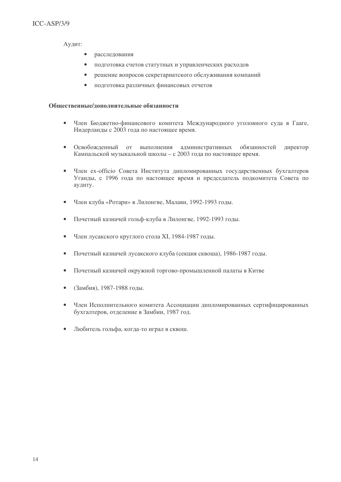Аудит:

- $\bullet$ расследования
- подготовка счетов статутных и управленческих расходов  $\bullet$
- решение вопросов секретариатского обслуживания компаний  $\bullet$
- подготовка различных финансовых отчетов

# Общественные/дополнительные обязанности

- $\bullet$ Член Бюджетно-финансового комитета Международного уголовного суда в Гааге, Нидерланды с 2003 года по настоящее время.
- Освобожденный от выполнения административных обязанностей  $\bullet$ директор Кампальской музыкальной школы - с 2003 года по настоящее время.
- $\bullet$ Член ex-officio Совета Института дипломированных государственных бухгалтеров Уганды, с 1996 года по настоящее время и председатель подкомитета Совета по аудиту.
- Член клуба «Ротари» в Лилонгве, Малави, 1992-1993 годы.
- Почетный казначей гольф-клуба в Лилонгве, 1992-1993 годы.  $\bullet$
- Член лусакского круглого стола XI, 1984-1987 годы.  $\bullet$
- Почетный казначей лусакского клуба (секция сквоша), 1986-1987 годы.  $\bullet$
- Почетный казначей окружной торгово-промышленной палаты в Китве  $\bullet$
- (Замбия), 1987-1988 годы.  $\bullet$
- Член Исполнительного комитета Ассоциации дипломированных сертифицированных бухгалтеров, отделение в Замбии, 1987 год.
- Любитель гольфа, когда-то играл в сквош.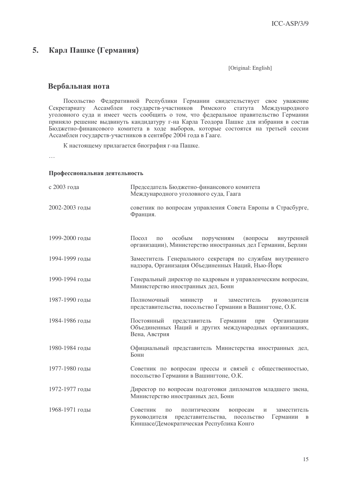#### 5. Карл Пашке (Германия)

[Original: English]

# Вербальная нота

Посольство Федеративной Республики Германии свидетельствует свое уважение Секретариату Ассамблеи государств-участников Римского статута Международного уголовного суда и имеет честь сообщить о том, что федеральное правительство Германии приняло решение выдвинуть кандидатуру г-на Карла Теодора Пашке для избрания в состав Бюджетно-финансового комитета в ходе выборов, которые состоятся на третьей сессии Ассамблеи государств-участников в сентябре 2004 года в Гааге.

К настоящему прилагается биография г-на Пашке.

 $\mathbb{R}^2$ 

# Профессиональная деятельность

| с 2003 года    | Председатель Бюджетно-финансового комитета<br>Международного уголовного суда, Гаага                                                                                                                          |
|----------------|--------------------------------------------------------------------------------------------------------------------------------------------------------------------------------------------------------------|
| 2002-2003 годы | советник по вопросам управления Совета Европы в Страсбурге,<br>Франция.                                                                                                                                      |
| 1999-2000 годы | Посол<br>особым<br>поручениям<br>(вопросы<br>внутренней<br>$\Pi$ <sup>O</sup><br>организации), Министерство иностранных дел Германии, Берлин                                                                 |
| 1994-1999 годы | Заместитель Генерального секретаря по службам внутреннего<br>надзора, Организация Объединенных Наций, Нью-Йорк                                                                                               |
| 1990-1994 годы | Генеральный директор по кадровым и управленческим вопросам,<br>Министерство иностранных дел, Бонн                                                                                                            |
| 1987-1990 годы | Полномочный<br>министр<br>заместитель<br>руководителя<br>$\,$ M<br>представительства, посольство Германии в Вашингтоне, О.К.                                                                                 |
| 1984-1986 годы | Германии<br>Постоянный<br>представитель<br>Организации<br>при<br>Объединенных Наций и других международных организациях,<br>Вена, Австрия                                                                    |
| 1980-1984 годы | Официальный представитель Министерства иностранных дел,<br>Бонн                                                                                                                                              |
| 1977-1980 годы | Советник по вопросам прессы и связей с общественностью,<br>посольство Германии в Вашингтоне, О.К.                                                                                                            |
| 1972-1977 годы | Директор по вопросам подготовки дипломатов младшего звена,<br>Министерство иностранных дел, Бонн                                                                                                             |
| 1968-1971 годы | Советник<br>вопросам<br>$\Pi$ <sup>O</sup><br>политическим<br>заместитель<br>И<br>представительства,<br>Германии<br>руководителя<br>посольство<br>$\overline{B}$<br>Киншасе/Демократическая Республика Конго |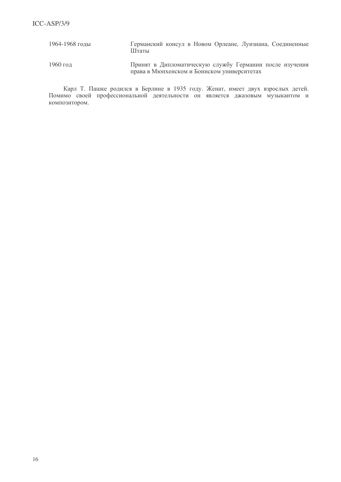| 1964-1968 годы | Германский консул в Новом Орлеане, Луизиана, Соединенные<br>Штаты                                      |
|----------------|--------------------------------------------------------------------------------------------------------|
| 1960 год       | Принят в Дипломатическую службу Германии после изучения<br>права в Мюнхенском и Боннском университетах |

Карл Т. Пашке родился в Берлине в 1935 году. Женат, имеет двух взрослых детей. Помимо своей профессиональной деятельности он является джазовым музыкантом и композитором.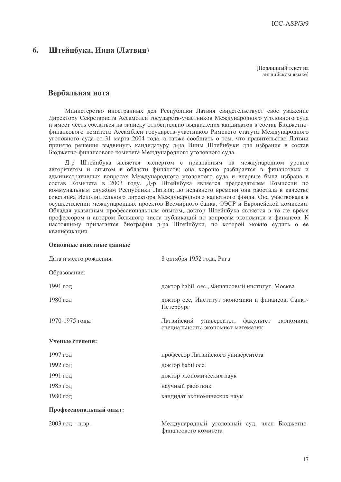#### 6. Штейнбука, Инна (Латвия)

Поллинный текст на английском языке]

# Вербальная нота

Министерство иностранных дел Республики Латвия свидетельствует свое уважение Директору Секретариата Ассамблеи государств-участников Международного уголовного суда и имеет честь сослаться на записку относительно выдвижения кандидатов в состав Бюджетнофинансового комитета Ассамблеи государств-участников Римского статута Международного уголовного суда от 31 марта 2004 года, а также сообщить о том, что правительство Латвии приняло решение выдвинуть кандидатуру д-ра Инны Штейнбуки для избрания в состав Бюджетно-финансового комитета Международного уголовного суда.

Д-р Штейнбука является экспертом с признанным на международном уровне авторитетом и опытом в области финансов; она хорошо разбирается в финансовых и административных вопросах Международного уголовного суда и впервые была избрана в состав Комитета в 2003 году. Д-р Штейнбука является председателем Комиссии по коммунальным службам Республики Латвия; до недавнего времени она работала в качестве советника Исполнительного директора Международного валютного фонда. Она участвовала в осуществлении международных проектов Всемирного банка, ОЭСР и Европейской комиссии. Обладая указанным профессиональным опытом, доктор Штейнбука является в то же время профессором и автором большого числа публикаций по вопросам экономики и финансов. К настоящему прилагается биография д-ра Штейнбуки, по которой можно судить о ее квалификации.

### Основные анкетные данные

| Дата и место рождения: | 8 октября 1952 года, Рига.                                                               |
|------------------------|------------------------------------------------------------------------------------------|
| Образование:           |                                                                                          |
| 1991 год               | доктор habil. оес., Финансовый институт, Москва                                          |
| 1980 год               | доктор оес, Институт экономики и финансов, Санкт-<br>Петербург                           |
| 1970-1975 годы         | Латвийский<br>университет, факультет<br>экономики,<br>специальность: экономист-математик |
| Ученые степени:        |                                                                                          |
| 1997 год               | профессор Латвийского университета                                                       |
| 1992 год               | доктор habil oec.                                                                        |
| 1991 год               | доктор экономических наук                                                                |
| 1985 год               | научный работник                                                                         |
| 1980 год               | кандидат экономических наук                                                              |
| Профессиональный опыт: |                                                                                          |
| 2003 год - н.вр.       | Международный уголовный суд, член Бюджетно-<br>финансового комитета                      |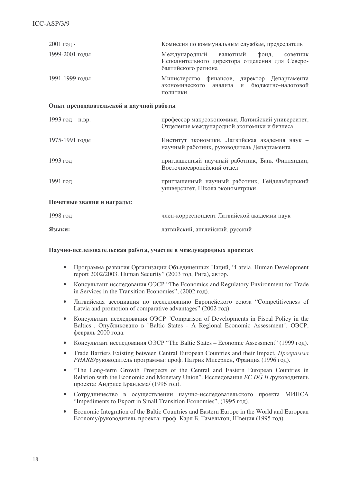| 2001 год-                               | Комиссия по коммунальным службам, председатель                                                                           |  |
|-----------------------------------------|--------------------------------------------------------------------------------------------------------------------------|--|
| 1999-2001 годы                          | Международный<br>валютный<br>фонд,<br>советник<br>Исполнительного директора отделения для Северо-<br>балтийского региона |  |
| 1991-1999 годы                          | Министерство финансов, директор Департамента<br>бюджетно-налоговой<br>экономического<br>анализа<br>И<br>ПОЛИТИКИ         |  |
| Опыт преподавательской и научной работы |                                                                                                                          |  |
| 1993 год - н.вр.                        | профессор макроэкономики, Латвийский университет,<br>Отделение международной экономики и бизнеса                         |  |
| 1975-1991 годы                          | Институт экономики, Латвийская академия наук -<br>научный работник, руководитель Департамента                            |  |
| 1993 год                                | приглашенный научный работник, Банк Финляндии,<br>Восточноевропейский отдел                                              |  |
| 1991 год                                | приглашенный научный работник, Гейдельбергский<br>университет, Школа эконометрики                                        |  |
| Почетные звания и награды:              |                                                                                                                          |  |
| 1998 год                                | член-корреспондент Латвийской академии наук                                                                              |  |
| Языки:                                  | латвийский, английский, русский                                                                                          |  |

# Научно-исследовательская работа, участие в международных проектах

- Программа развития Организации Объединенных Наций, "Latvia. Human Development report 2002/2003. Human Security" (2003 год, Рига), автор.
- Консультант исследования ОЭСР "The Economics and Regulatory Environment for Trade in Services in the Transition Economies",  $(2002 \text{ rog}).$
- Латвийская ассоциация по исследованию Европейского союза "Competitiveness of Latvia and promotion of comparative advantages" (2002 год).
- Консультант исследования ОЭСР "Comparison of Developments in Fiscal Policy in the Baltics". Опубликовано в "Baltic States - A Regional Economic Assessment". ОЭСР, февраль 2000 года.
- Консультант исследования ОЭСР "The Baltic States Economic Assessment" (1999 год).
- Trade Barriers Existing between Central European Countries and their Impact. *Программа* PHARE/руководитель программы: проф. Патрик Мисерлен, Франция (1996 год).
- "The Long-term Growth Prospects of the Central and Eastern European Countries in Relation with the Economic and Monetary Union". Исследование *EC DG II* /руководитель проекта: Андриес Брандсма/ (1996 год).
- Сотрудничество в осуществлении научно-исследовательского проекта МИПСА "Impediments to Export in Small Transition Economies", (1995 год).
- Economic Integration of the Baltic Countries and Eastern Europe in the World and European Есопоту/руководитель проекта: проф. Карл Б. Гамельтон, Швеция (1995 год).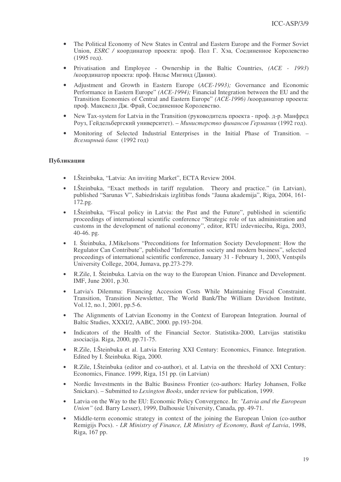- The Political Economy of New States in Central and Eastern Europe and the Former Soviet Union, *ESRC* / координатор проекта: проф. Пол Г. Хэа, Соединенное Королевство  $(1995 \text{ ron}).$
- Privatisation and Employee Ownership in the Baltic Countries, *(ACE - 1993*) /координатор проекта: проф. Нильс Мигинд (Дания).
- Adjustment and Growth in Eastern Europe (*ACE-1993);* Governance and Economic Performance in Eastern Europe" *(ACE-1994);* Financial Integration between the EU and the Transition Economies of Central and Eastern Europe" (АСЕ-1996) /координатор проекта: проф. Максвелл Дж. Фрай, Соединенное Королевство.
- New Tax-system for Latvia in the Transition (руководитель проекта проф. д-р. Манфред Роуз, Гейдельбергский университет). – Министерство финансов Германии (1992 год).
- Monitoring of Selected Industrial Enterprises in the Initial Phase of Transition. Всемирный банк (1992 год)

# Публикации

- I.Šteinbuka, "Latvia: An inviting Market", ECTA Review 2004.
- I.Šteinbuka, "Exact methods in tariff regulation. Theory and practice." (in Latvian), published "Sarunas V", Sabiedriskais izglitibas fonds "Jauna akademija", Riga, 2004, 161- 172.pg.
- I.Šteinbuka, "Fiscal policy in Latvia: the Past and the Future", published in scientific proceedings of international scientific conference "Strategic role of tax administration and customs in the development of national economy", editor, RTU izdevnieciba, Riga, 2003, 40-46. pg.
- I. Šteinbuka, J.Mikelsons "Preconditions for Information Society Development: How the Regulator Can Contribute", published "Information society and modern business", selected proceedings of international scientific conference, January 31 - February 1, 2003, Ventspils University College, 2004, Jumava, pp.273-279.
- R.Zile, I. Šteinbuka. Latvia on the way to the European Union. Finance and Development. IMF, June 2001, p.30.
- Latvia's Dilemma: Financing Accession Costs While Maintaining Fiscal Constraint. Transition, Transition Newsletter, The World Bank/The William Davidson Institute, Vol.12, no.1, 2001, pp.5-6.
- The Alignments of Latvian Economy in the Context of European Integration. Journal of Baltic Studies, XXXI/2, AABC, 2000. pp.193-204.
- Indicators of the Health of the Financial Sector. Statistika-2000, Latvijas statistiku asociacija. Riga, 2000, pp.71-75.
- R.Zile, I.Šteinbuka et al. Latvia Entering XXI Century: Economics, Finance. Integration. Edited by I. Šteinbuka. Riga, 2000.
- R.Zile, I.Šteinbuka (editor and co-author), et al. Latvia on the threshold of XXI Century: Economics, Finance. 1999, Riga, 151 pp. (in Latvian)
- Nordic Investments in the Baltic Business Frontier (co-authors: Harley Johansen, Folke Snickars). – Submitted to *Lexington Books*, under review for publication, 1999.
- Latvia on the Way to the EU: Economic Policy Convergence. In: *"Latvia and the European Union"* (ed. Barry Lesser), 1999, Dalhousie University, Canada, pp. 49-71.
- Middle-term economic strategy in context of the joining the European Union (co-author Remigijs Pocs). - *LR Ministry of Finance, LR Ministry of Economy, Bank of Latvia*, 1998, Riga, 167 pp.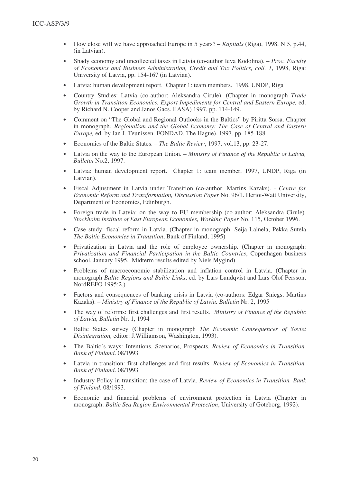- How close will we have approached Europe in 5 years? *Kapitals* (Riga), 1998, N 5, p.44, (in Latvian).
- Shady economy and uncollected taxes in Latvia (co-author Ieva Kodolina). *Proc. Faculty of Economics and Business Administration, Credit and Tax Politics, coll. 1*, 1998, Riga: University of Latvia, pp. 154-167 (in Latvian).
- Latvia: human development report. Chapter 1: team members. 1998, UNDP, Riga
- Country Studies: Latvia (co-author: Aleksandra Cirule). (Chapter in monograph *Trade Growth in Transition Economies. Export Impediments for Central and Eastern Europe,* ed. by Richard N. Cooper and Janos Gacs. IIASA) 1997, pp. 114-149.
- Comment on "The Global and Regional Outlooks in the Baltics" by Piritta Sorsa. Chapter in monograph*: Regionalism and the Global Economy: The Case of Central and Eastern Europe,* ed*.* by Jan J. Teunissen. FONDAD, The Hague), 1997. pp. 185-188.
- Economics of the Baltic States. *The Baltic Review*, 1997, vol.13, pp. 23-27.
- Latvia on the way to the European Union. *Ministry of Finance of the Republic of Latvia, Bulletin* No.2, 1997.
- Latvia: human development report. Chapter 1: team member, 1997, UNDP, Riga (in Latvian).
- Fiscal Adjustment in Latvia under Transition (co-author: Martins Kazaks). *Centre for Economic Reform and Transformation, Discussion Paper* No. 96/1. Heriot-Watt University, Department of Economics, Edinburgh.
- Foreign trade in Latvia: on the way to EU membership (co-author: Aleksandra Cirule). *Stockholm Institute of East European Economies, Working Paper* No. 115, October 1996.
- Case study: fiscal reform in Latvia. (Chapter in monograph: Seija Lainela, Pekka Sutela *The Baltic Economies in Transition*, Bank of Finland, 1995)
- Privatization in Latvia and the role of employee ownership. (Chapter in monograph: *Privatization and Financial Participation in the Baltic Countries*, Copenhagen business school. January 1995. Midterm results edited by Niels Mygind)
- Problems of macroeconomic stabilization and inflation control in Latvia. (Chapter in monograph *Baltic Regions and Baltic Links*, ed. by Lars Lundqvist and Lars Olof Persson, NordREFO 1995:2.)
- Factors and consequences of banking crisis in Latvia (co-authors: Edgar Sniegs, Martins Kazaks). – *Ministry of Finance of the Republic of Latvia, Bulletin* Nr. 2, 1995
- The way of reforms: first challenges and first results*. Ministry of Finance of the Republic of Latvia, Bulletin* Nr. 1, 1994
- Baltic States survey (Chapter in monograph *The Economic Consequences of Soviet Disintegration,* editor: J.Williamson, Washington, 1993).
- The Baltic's ways: Intentions, Scenarios, Prospects. *Review of Economics in Transition. Bank of Finland*. 08/1993
- Latvia in transition: first challenges and first results. *Review of Economics in Transition. Bank of Finland*. 08/1993
- Industry Policy in transition: the case of Latvia. *Review of Economics in Transition. Bank of Finland.* 08/1993.
- Economic and financial problems of environment protection in Latvia (Chapter in monograph: *Baltic Sea Region Environmental Protection*, University of Göteborg, 1992).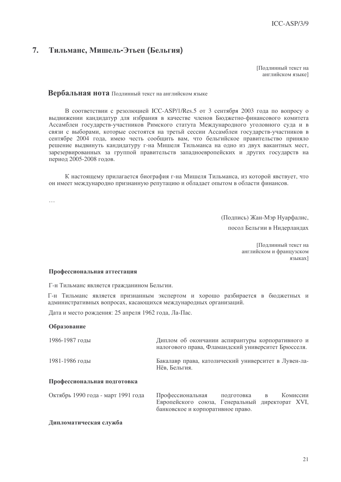#### $7.$ Тильманс, Мишель-Этьен (Бельгия)

Поллинный текст на английском языке]

# Вербальная нота Подлинный текст на английском языке

В соответствии с резолюцией ICC-ASP/1/Res.5 от 3 сентября 2003 года по вопросу о выдвижении кандидатур для избрания в качестве членов Бюджетно-финансового комитета Ассамблеи государств-участников Римского статута Международного уголовного суда и в связи с выборами, которые состоятся на третьй сессии Ассамблеи государств-участников в сентябре 2004 года, имею честь сообщить вам, что бельгийское правительство приняло решение выдвинуть кандидатуру г-на Мишеля Тильманса на одно из двух вакантных мест, зарезервированных за группой правительств западноевропейских и других государств на период 2005-2008 годов.

К настоящему прилагается биография г-на Мишеля Тильманса, из которой явствует, что он имеет международно признанную репутацию и обладает опытом в области финансов.

 $\ddotsc$ 

(Подпись) Жан-Мэр Нуарфалис,

посол Бельгии в Нидерландах

Подлинный текст на английском и французском языках]

# Профессиональная аттестация

Г-н Тильманс является гражданином Бельгии.

Г-н Тильманс является признанным экспертом и хорошо разбирается в бюджетных и административных вопросах, касающихся международных организаций.

Дата и место рождения: 25 апреля 1962 года, Ла-Пас.

# Образование

| 1986-1987 годы                     | Диплом об окончании аспирантуры корпоративного и<br>налогового права, Фламандский университет Брюсселя.                                 |  |  |
|------------------------------------|-----------------------------------------------------------------------------------------------------------------------------------------|--|--|
| 1981-1986 годы                     | Бакалавр права, католический университет в Лувен-ла-<br>Нёв, Бельгия.                                                                   |  |  |
| Профессиональная подготовка        |                                                                                                                                         |  |  |
| Октябрь 1990 года - март 1991 года | Профессиональная<br>Комиссии<br>подготовка<br>B<br>Европейского союза, Генеральный директорат XVI,<br>банковское и корпоративное право. |  |  |

# Дипломатическая служба